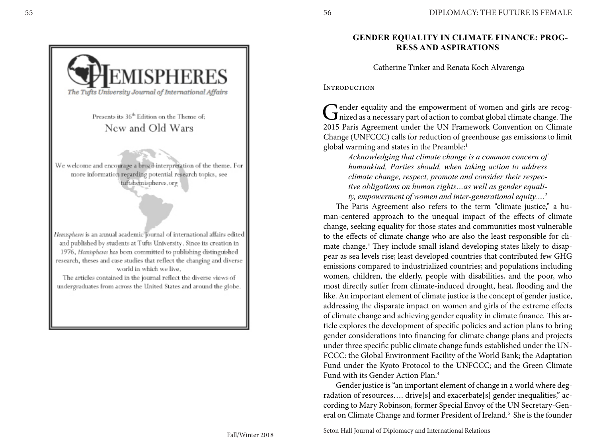# **GENDER EQUALITY IN CLIMATE FINANCE: PROG - RESS AND ASPIRATIONS**

Catherine Tinker and Renata Koch Alvarenga

**INTRODUCTION** 

Gender equality and the empowerment of women and girls are recog-<br>nized as a necessary part of action to combat global climate change. The Tender equality and the empowerment of women and girls are recog-2015 Paris Agreement under the UN Framework Convention on Climate Change (UNFCCC) calls for reduction of greenhouse gas emissions to limit global warming and states in the Preamble: 1

> *Acknowledging that climate change is a common concern of humankind, Parties should, when taking action to address climate change, respect, promote and consider their respec tive obligations on human rights…as well as gender equali ty, empowerment of women and inter-generational equity.… 2*

The Paris Agreement also refers to the term "climate justice," a human-centered approach to the unequal impact of the effects of climate change, seeking equality for those states and communities most vulnerable to the effects of climate change who are also the least responsible for cli mate change. 3 They include small island developing states likely to disap pear as sea levels rise; least developed countries that contributed few GHG emissions compared to industrialized countries; and populations including women, children, the elderly, people with disabilities, and the poor, who most directly suffer from climate-induced drought, heat, flooding and the like. An important element of climate justice is the concept of gender justice, addressing the disparate impact on women and girls of the extreme effects of climate change and achieving gender equality in climate finance. This ar ticle explores the development of specific policies and action plans to bring gender considerations into financing for climate change plans and projects under three specific public climate change funds established under the UN - FCCC: the Global Environment Facility of the World Bank; the Adaptation Fund under the Kyoto Protocol to the UNFCCC; and the Green Climate Fund with its Gender Action Plan. 4

Gender justice is "an important element of change in a world where deg radation of resources…. drive[s] and exacerbate[s] gender inequalities," ac cording to Mary Robinson, former Special Envoy of the UN Secretary-Gen eral on Climate Change and former President of Ireland. 5 She is the founder



Presents its 36<sup>th</sup> Edition on the Theme of: New and Old Wars

We welcome and encourage a broad-interpretation of the theme. For more information regarding potential research topics, see tuftshemispheres.org

Hemispheres is an annual academic journal of international affairs edited and published by students at Tufts University. Since its creation in 1976, Hemispheres has been committed to publishing distinguished research, theses and case studies that reflect the changing and diverse world in which we live,

The articles contained in the journal reflect the diverse views of undergraduates from across the United States and around the globe,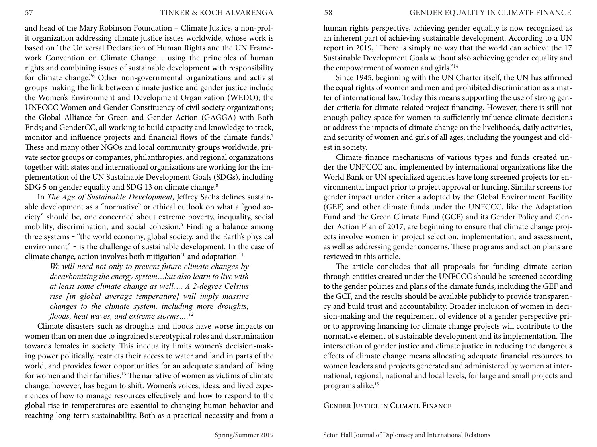and head of the Mary Robinson Foundation – Climate Justice, a non-profit organization addressing climate justice issues worldwide, whose work is based on "the Universal Declaration of Human Rights and the UN Framework Convention on Climate Change… using the principles of human rights and combining issues of sustainable development with responsibility for climate change."6 Other non-governmental organizations and activist groups making the link between climate justice and gender justice include the Women's Environment and Development Organization (WEDO); the UNFCCC Women and Gender Constituency of civil society organizations; the Global Alliance for Green and Gender Action (GAGGA) with Both Ends; and GenderCC, all working to build capacity and knowledge to track, monitor and influence projects and financial flows of the climate funds.<sup>7</sup> These and many other NGOs and local community groups worldwide, private sector groups or companies, philanthropies, and regional organizations together with states and international organizations are working for the implementation of the UN Sustainable Development Goals (SDGs), including SDG 5 on gender equality and SDG 13 on climate change.<sup>8</sup>

In *The Age of Sustainable Development*, Jeffrey Sachs defines sustainable development as a "normative" or ethical outlook on what a "good society" should be, one concerned about extreme poverty, inequality, social mobility, discrimination, and social cohesion.9 Finding a balance among three systems - "the world economy, global society, and the Earth's physical environment" - is the challenge of sustainable development. In the case of climate change, action involves both mitigation<sup>10</sup> and adaptation.<sup>11</sup>

*We will need not only to prevent future climate changes by decarbonizing the energy system…but also learn to live with at least some climate change as well.… A 2-degree Celsius rise [in global average temperature] will imply massive changes to the climate system, including more droughts, floods, heat waves, and extreme storms….12* 

Climate disasters such as droughts and floods have worse impacts on women than on men due to ingrained stereotypical roles and discrimination towards females in society. This inequality limits women's decision-making power politically, restricts their access to water and land in parts of the world, and provides fewer opportunities for an adequate standard of living for women and their families.13 The narrative of women as victims of climate change, however, has begun to shift. Women's voices, ideas, and lived experiences of how to manage resources effectively and how to respond to the global rise in temperatures are essential to changing human behavior and reaching long-term sustainability. Both as a practical necessity and from a human rights perspective, achieving gender equality is now recognized as an inherent part of achieving sustainable development. According to a UN report in 2019, "There is simply no way that the world can achieve the 17 Sustainable Development Goals without also achieving gender equality and the empowerment of women and girls."14

Since 1945, beginning with the UN Charter itself, the UN has affirmed the equal rights of women and men and prohibited discrimination as a matter of international law. Today this means supporting the use of strong gender criteria for climate-related project financing. However, there is still not enough policy space for women to sufficiently influence climate decisions or address the impacts of climate change on the livelihoods, daily activities, and security of women and girls of all ages, including the youngest and oldest in society.

Climate finance mechanisms of various types and funds created under the UNFCCC and implemented by international organizations like the World Bank or UN specialized agencies have long screened projects for environmental impact prior to project approval or funding. Similar screens for gender impact under criteria adopted by the Global Environment Facility (GEF) and other climate funds under the UNFCCC, like the Adaptation Fund and the Green Climate Fund (GCF) and its Gender Policy and Gender Action Plan of 2017, are beginning to ensure that climate change projects involve women in project selection, implementation, and assessment, as well as addressing gender concerns. These programs and action plans are reviewed in this article.

The article concludes that all proposals for funding climate action through entities created under the UNFCCC should be screened according to the gender policies and plans of the climate funds, including the GEF and the GCF, and the results should be available publicly to provide transparency and build trust and accountability. Broader inclusion of women in decision-making and the requirement of evidence of a gender perspective prior to approving financing for climate change projects will contribute to the normative element of sustainable development and its implementation. The intersection of gender justice and climate justice in reducing the dangerous effects of climate change means allocating adequate financial resources to women leaders and projects generated and administered by women at international, regional, national and local levels, for large and small projects and programs alike. 15

Gender Justice in Climate Finance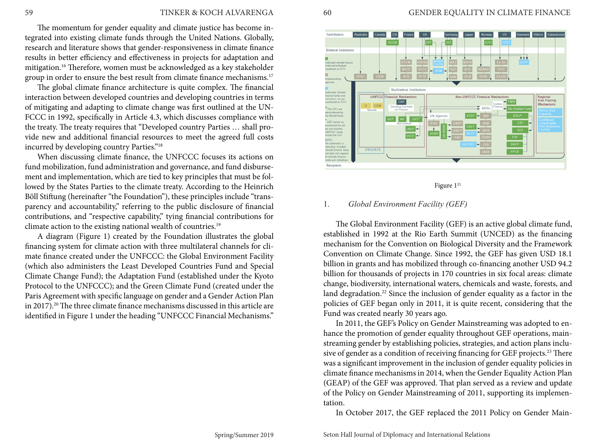# 59 TINKER & KOCH ALVARENGA

The momentum for gender equality and climate justice has become integrated into existing climate funds through the United Nations. Globally, research and literature shows that gender-responsiveness in climate finance results in better efficiency and effectiveness in projects for adaptation and mitigation.16 Therefore, women must be acknowledged as a key stakeholder group in order to ensure the best result from climate finance mechanisms.<sup>17</sup>

The global climate finance architecture is quite complex. The financial interaction between developed countries and developing countries in terms of mitigating and adapting to climate change was first outlined at the UN-FCCC in 1992, specifically in Article 4.3, which discusses compliance with the treaty. The treaty requires that "Developed country Parties … shall provide new and additional financial resources to meet the agreed full costs incurred by developing country Parties."18

When discussing climate finance, the UNFCCC focuses its actions on fund mobilization, fund administration and governance, and fund disbursement and implementation, which are tied to key principles that must be followed by the States Parties to the climate treaty. According to the Heinrich Böll Stiftung (hereinafter "the Foundation"), these principles include "transparency and accountability," referring to the public disclosure of financial contributions, and "respective capability," tying financial contributions for climate action to the existing national wealth of countries.<sup>19</sup>

A diagram (Figure 1) created by the Foundation illustrates the global financing system for climate action with three multilateral channels for climate finance created under the UNFCCC: the Global Environment Facility (which also administers the Least Developed Countries Fund and Special Climate Change Fund); the Adaptation Fund (established under the Kyoto Protocol to the UNFCCC); and the Green Climate Fund (created under the Paris Agreement with specific language on gender and a Gender Action Plan in 2017).<sup>20</sup> The three climate finance mechanisms discussed in this article are identified in Figure 1 under the heading "UNFCCC Financial Mechanisms."



Figure  $1^{21}$ 

### 1. *Global Environment Facility (GEF)*

The Global Environment Facility (GEF) is an active global climate fund, established in 1992 at the Rio Earth Summit (UNCED) as the financing mechanism for the Convention on Biological Diversity and the Framework Convention on Climate Change. Since 1992, the GEF has given USD 18.1 billion in grants and has mobilized through co-financing another USD 94.2 billion for thousands of projects in 170 countries in six focal areas: climate change, biodiversity, international waters, chemicals and waste, forests, and land degradation.<sup>22</sup> Since the inclusion of gender equality as a factor in the policies of GEF began only in 2011, it is quite recent, considering that the Fund was created nearly 30 years ago.

In 2011, the GEF's Policy on Gender Mainstreaming was adopted to enhance the promotion of gender equality throughout GEF operations, mainstreaming gender by establishing policies, strategies, and action plans inclusive of gender as a condition of receiving financing for GEF projects.<sup>23</sup> There was a significant improvement in the inclusion of gender equality policies in climate finance mechanisms in 2014, when the Gender Equality Action Plan (GEAP) of the GEF was approved. That plan served as a review and update of the Policy on Gender Mainstreaming of 2011, supporting its implementation.

In October 2017, the GEF replaced the 2011 Policy on Gender Main-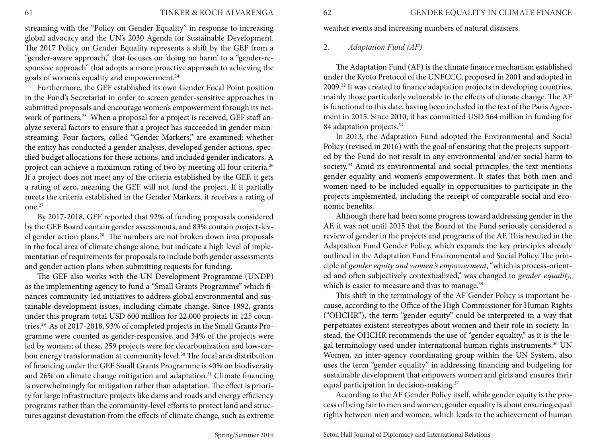# 61 TINKER & KOCH ALVARENGA

streaming with the "Policy on Gender Equality" in response to increasing global advocacy and the UN's 2030 Agenda for Sustainable Development. The 2017 Policy on Gender Equality represents a shift by the GEF from a "gender-aware approach," that focuses on 'doing no harm' to a "gender-responsive approach" that adopts a more proactive approach to achieving the goals of women's equality and empowerment.24

Furthermore, the GEF established its own Gender Focal Point position in the Fund's Secretariat in order to screen gender-sensitive approaches in submitted proposals and encourage women's empowerment through its network of partners.<sup>25</sup> When a proposal for a project is received, GEF staff analyze several factors to ensure that a project has succeeded in gender mainstreaming. Four factors, called "Gender Markers," are examined: whether the entity has conducted a gender analysis, developed gender actions, specified budget allocations for those actions, and included gender indicators. A project can achieve a maximum rating of two by meeting all four criteria.26 If a project does not meet any of the criteria established by the GEF, it gets a rating of zero, meaning the GEF will not fund the project. If it partially meets the criteria established in the Gender Markers, it receives a rating of one.27

By 2017-2018, GEF reported that 92% of funding proposals considered by the GEF Board contain gender assessments, and 83% contain project-level gender action plans.28 The numbers are not broken down into proposals in the focal area of climate change alone, but indicate a high level of implementation of requirements for proposals to include both gender assessments and gender action plans when submitting requests for funding.

The GEF also works with the UN Development Programme (UNDP) as the implementing agency to fund a "Small Grants Programme" which finances community-led initiatives to address global environmental and sustainable development issues, including climate change. Since 1992, grants under this program total USD 600 million for 22,000 projects in 125 countries.29 As of 2017-2018, 93% of completed projects in the Small Grants Programme were counted as gender-responsive, and 34% of the projects were led by women; of these, 259 projects were for decarbonization and low-carbon energy transformation at community level.<sup>30</sup> The focal area distribution of financing under the GEF Small Grants Programme is 40% on biodiversity and 26% on climate change mitigation and adaptation.<sup>31</sup> Climate financing is overwhelmingly for mitigation rather than adaptation. The effect is priority for large infrastructure projects like dams and roads and energy efficiency programs rather than the community-level efforts to protect land and structures against devastation from the effects of climate change, such as extreme

62 GENDER EQUALITY IN CLIMATE FINANCE

weather events and increasing numbers of natural disasters.

# 2. *Adaptation Fund (AF)*

The Adaptation Fund (AF) is the climate finance mechanism established under the Kyoto Protocol of the UNFCCC, proposed in 2001 and adopted in 2009.32 It was created to finance adaptation projects in developing countries, mainly those particularly vulnerable to the effects of climate change. The AF is functional to this date, having been included in the text of the Paris Agreement in 2015. Since 2010, it has committed USD 564 million in funding for 84 adaptation projects.<sup>33</sup>

In 2013, the Adaptation Fund adopted the Environmental and Social Policy (revised in 2016) with the goal of ensuring that the projects supported by the Fund do not result in any environmental and/or social harm to society.<sup>34</sup> Amid its environmental and social principles, the text mentions gender equality and women's empowerment. It states that both men and women need to be included equally in opportunities to participate in the projects implemented, including the receipt of comparable social and economic benefits.

Although there had been some progress toward addressing gender in the AF, it was not until 2015 that the Board of the Fund seriously considered a review of gender in the projects and programs of the AF. This resulted in the Adaptation Fund Gender Policy, which expands the key principles already outlined in the Adaptation Fund Environmental and Social Policy. The principle of *gender equity and women's empowerment*, "which is process-oriented and often subjectively contextualized," was changed to *gender equality,*  which is easier to measure and thus to manage.<sup>35</sup>

This shift in the terminology of the AF Gender Policy is important because, according to the Office of the High Commissioner for Human Rights ("OHCHR"), the term "gender equity" could be interpreted in a way that perpetuates existent stereotypes about women and their role in society. Instead, the OHCHR recommends the use of "gender equality," as it is the legal terminology used under international human rights instruments.<sup>36</sup> UN Women, an inter-agency coordinating group within the UN System, also uses the term "gender equality" in addressing financing and budgeting for sustainable development that empowers women and girls and ensures their equal participation in decision-making.<sup>37</sup>

According to the AF Gender Policy itself, while gender equity is the process of being fair to men and women, gender equality is about ensuring equal rights between men and women, which leads to the achievement of human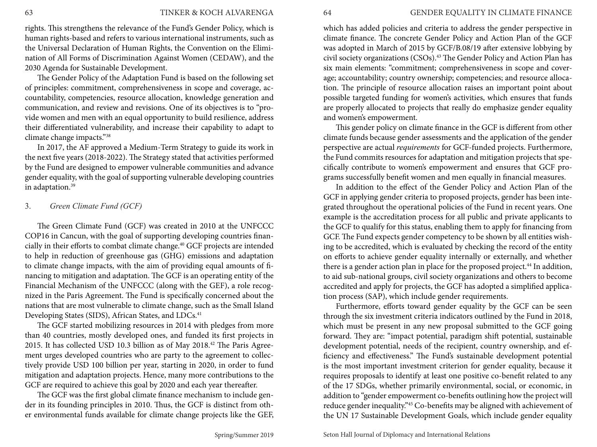rights. This strengthens the relevance of the Fund's Gender Policy, which is human rights-based and refers to various international instruments, such as the Universal Declaration of Human Rights, the Convention on the Elimination of All Forms of Discrimination Against Women (CEDAW), and the 2030 Agenda for Sustainable Development.

The Gender Policy of the Adaptation Fund is based on the following set of principles: commitment, comprehensiveness in scope and coverage, accountability, competencies, resource allocation, knowledge generation and communication, and review and revisions. One of its objectives is to "provide women and men with an equal opportunity to build resilience, address their differentiated vulnerability, and increase their capability to adapt to climate change impacts."38

In 2017, the AF approved a Medium-Term Strategy to guide its work in the next five years (2018-2022). The Strategy stated that activities performed by the Fund are designed to empower vulnerable communities and advance gender equality, with the goal of supporting vulnerable developing countries in adaptation.<sup>39</sup>

# 3. *Green Climate Fund (GCF)*

The Green Climate Fund (GCF) was created in 2010 at the UNFCCC COP16 in Cancun, with the goal of supporting developing countries financially in their efforts to combat climate change.40 GCF projects are intended to help in reduction of greenhouse gas (GHG) emissions and adaptation to climate change impacts, with the aim of providing equal amounts of financing to mitigation and adaptation. The GCF is an operating entity of the Financial Mechanism of the UNFCCC (along with the GEF), a role recognized in the Paris Agreement. The Fund is specifically concerned about the nations that are most vulnerable to climate change, such as the Small Island Developing States (SIDS), African States, and LDCs.<sup>41</sup>

The GCF started mobilizing resources in 2014 with pledges from more than 40 countries, mostly developed ones, and funded its first projects in 2015. It has collected USD 10.3 billion as of May 2018.42 The Paris Agreement urges developed countries who are party to the agreement to collectively provide USD 100 billion per year, starting in 2020, in order to fund mitigation and adaptation projects. Hence, many more contributions to the GCF are required to achieve this goal by 2020 and each year thereafter.

The GCF was the first global climate finance mechanism to include gender in its founding principles in 2010. Thus, the GCF is distinct from other environmental funds available for climate change projects like the GEF, which has added policies and criteria to address the gender perspective in climate finance. The concrete Gender Policy and Action Plan of the GCF was adopted in March of 2015 by GCF/B.08/19 after extensive lobbying by civil society organizations (CSOs).<sup>43</sup> The Gender Policy and Action Plan has six main elements: "commitment; comprehensiveness in scope and coverage; accountability; country ownership; competencies; and resource allocation. The principle of resource allocation raises an important point about possible targeted funding for women's activities, which ensures that funds are properly allocated to projects that really do emphasize gender equality and women's empowerment.

This gender policy on climate finance in the GCF is different from other climate funds because gender assessments and the application of the gender perspective are actual *requirements* for GCF-funded projects. Furthermore, the Fund commits resources for adaptation and mitigation projects that specifically contribute to women's empowerment and ensures that GCF programs successfully benefit women and men equally in financial measures.

In addition to the effect of the Gender Policy and Action Plan of the GCF in applying gender criteria to proposed projects, gender has been integrated throughout the operational policies of the Fund in recent years. One example is the accreditation process for all public and private applicants to the GCF to qualify for this status, enabling them to apply for financing from GCF. The Fund expects gender competency to be shown by all entities wishing to be accredited, which is evaluated by checking the record of the entity on efforts to achieve gender equality internally or externally, and whether there is a gender action plan in place for the proposed project.<sup>44</sup> In addition, to aid sub-national groups, civil society organizations and others to become accredited and apply for projects, the GCF has adopted a simplified application process (SAP), which include gender requirements.

Furthermore, efforts toward gender equality by the GCF can be seen through the six investment criteria indicators outlined by the Fund in 2018, which must be present in any new proposal submitted to the GCF going forward. They are: "impact potential, paradigm shift potential, sustainable development potential, needs of the recipient, country ownership, and efficiency and effectiveness." The Fund's sustainable development potential is the most important investment criterion for gender equality, because it requires proposals to identify at least one positive co-benefit related to any of the 17 SDGs, whether primarily environmental, social, or economic, in addition to "gender empowerment co-benefits outlining how the project will reduce gender inequality."45 Co-benefits may be aligned with achievement of the UN 17 Sustainable Development Goals, which include gender equality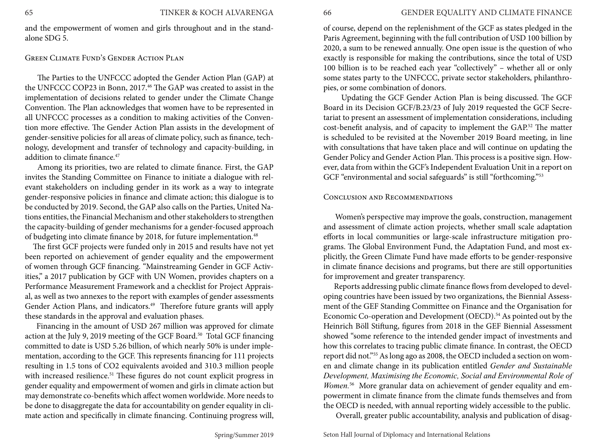and the empowerment of women and girls throughout and in the standalone SDG 5.

#### Green Climate Fund's Gender Action Plan

The Parties to the UNFCCC adopted the Gender Action Plan (GAP) at the UNFCCC COP23 in Bonn, 2017.<sup>46</sup> The GAP was created to assist in the implementation of decisions related to gender under the Climate Change Convention. The Plan acknowledges that women have to be represented in all UNFCCC processes as a condition to making activities of the Convention more effective. The Gender Action Plan assists in the development of gender-sensitive policies for all areas of climate policy, such as finance, technology, development and transfer of technology and capacity-building, in addition to climate finance.<sup>47</sup>

Among its priorities, two are related to climate finance. First, the GAP invites the Standing Committee on Finance to initiate a dialogue with relevant stakeholders on including gender in its work as a way to integrate gender-responsive policies in finance and climate action; this dialogue is to be conducted by 2019. Second, the GAP also calls on the Parties, United Nations entities, the Financial Mechanism and other stakeholders to strengthen the capacity-building of gender mechanisms for a gender-focused approach of budgeting into climate finance by 2018, for future implementation.<sup>48</sup>

 The first GCF projects were funded only in 2015 and results have not yet been reported on achievement of gender equality and the empowerment of women through GCF financing. "Mainstreaming Gender in GCF Activities," a 2017 publication by GCF with UN Women, provides chapters on a Performance Measurement Framework and a checklist for Project Appraisal, as well as two annexes to the report with examples of gender assessments Gender Action Plans, and indicators.<sup>49</sup> Therefore future grants will apply these standards in the approval and evaluation phases.

 Financing in the amount of USD 267 million was approved for climate action at the July 9, 2019 meeting of the GCF Board.<sup>50</sup> Total GCF financing committed to date is USD 5.26 billion, of which nearly 50% is under implementation, according to the GCF. This represents financing for 111 projects resulting in 1.5 tons of CO2 equivalents avoided and 310.3 million people with increased resilience.<sup>51</sup> These figures do not count explicit progress in gender equality and empowerment of women and girls in climate action but may demonstrate co-benefits which affect women worldwide. More needs to be done to disaggregate the data for accountability on gender equality in climate action and specifically in climate financing. Continuing progress will,

of course, depend on the replenishment of the GCF as states pledged in the Paris Agreement, beginning with the full contribution of USD 100 billion by 2020, a sum to be renewed annually. One open issue is the question of who exactly is responsible for making the contributions, since the total of USD 100 billion is to be reached each year "collectively" – whether all or only some states party to the UNFCCC, private sector stakeholders, philanthropies, or some combination of donors.

 Updating the GCF Gender Action Plan is being discussed. The GCF Board in its Decision GCF/B.23/23 of July 2019 requested the GCF Secretariat to present an assessment of implementation considerations, including cost-benefit analysis, and of capacity to implement the GAP.<sup>52</sup> The matter is scheduled to be revisited at the November 2019 Board meeting, in line with consultations that have taken place and will continue on updating the Gender Policy and Gender Action Plan. This process is a positive sign. However, data from within the GCF's Independent Evaluation Unit in a report on GCF "environmental and social safeguards" is still "forthcoming."<sup>53</sup>

#### Conclusion and Recommendations

 Women's perspective may improve the goals, construction, management and assessment of climate action projects, whether small scale adaptation efforts in local communities or large-scale infrastructure mitigation programs. The Global Environment Fund, the Adaptation Fund, and most explicitly, the Green Climate Fund have made efforts to be gender-responsive in climate finance decisions and programs, but there are still opportunities for improvement and greater transparency.

 Reports addressing public climate finance flows from developed to developing countries have been issued by two organizations, the Biennial Assessment of the GEF Standing Committee on Finance and the Organisation for Economic Co-operation and Development (OECD).<sup>54</sup> As pointed out by the Heinrich Böll Stiftung, figures from 2018 in the GEF Biennial Assessment showed "some reference to the intended gender impact of investments and how this correlates to tracing public climate finance. In contrast, the OECD report did not."55 As long ago as 2008, the OECD included a section on women and climate change in its publication entitled *Gender and Sustainable Development, Maximising the Economic, Social and Environmental Role of Women.*56 More granular data on achievement of gender equality and empowerment in climate finance from the climate funds themselves and from the OECD is needed, with annual reporting widely accessible to the public.

Overall, greater public accountability, analysis and publication of disag-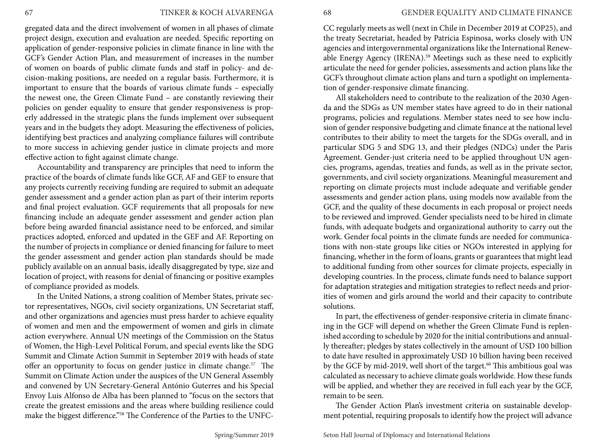gregated data and the direct involvement of women in all phases of climate project design, execution and evaluation are needed. Specific reporting on application of gender-responsive policies in climate finance in line with the GCF's Gender Action Plan, and measurement of increases in the number of women on boards of public climate funds and staff in policy- and decision-making positions, are needed on a regular basis. Furthermore, it is important to ensure that the boards of various climate funds – especially the newest one, the Green Climate Fund – are constantly reviewing their policies on gender equality to ensure that gender responsiveness is properly addressed in the strategic plans the funds implement over subsequent years and in the budgets they adopt. Measuring the effectiveness of policies, identifying best practices and analyzing compliance failures will contribute to more success in achieving gender justice in climate projects and more effective action to fight against climate change.

Accountability and transparency are principles that need to inform the practice of the boards of climate funds like GCF, AF and GEF to ensure that any projects currently receiving funding are required to submit an adequate gender assessment and a gender action plan as part of their interim reports and final project evaluation. GCF requirements that all proposals for new financing include an adequate gender assessment and gender action plan before being awarded financial assistance need to be enforced, and similar practices adopted, enforced and updated in the GEF and AF. Reporting on the number of projects in compliance or denied financing for failure to meet the gender assessment and gender action plan standards should be made publicly available on an annual basis, ideally disaggregated by type, size and location of project, with reasons for denial of financing or positive examples of compliance provided as models.

In the United Nations, a strong coalition of Member States, private sector representatives, NGOs, civil society organizations, UN Secretariat staff, and other organizations and agencies must press harder to achieve equality of women and men and the empowerment of women and girls in climate action everywhere. Annual UN meetings of the Commission on the Status of Women, the High-Level Political Forum, and special events like the SDG Summit and Climate Action Summit in September 2019 with heads of state offer an opportunity to focus on gender justice in climate change.<sup>57</sup> The Summit on Climate Action under the auspices of the UN General Assembly and convened by UN Secretary-General António Guterres and his Special Envoy Luis Alfonso de Alba has been planned to "focus on the sectors that create the greatest emissions and the areas where building resilience could make the biggest difference."58 The Conference of the Parties to the UNFC-

CC regularly meets as well (next in Chile in December 2019 at COP25), and the treaty Secretariat, headed by Patricia Espinosa, works closely with UN agencies and intergovernmental organizations like the International Renewable Energy Agency (IRENA).59 Meetings such as these need to explicitly articulate the need for gender policies, assessments and action plans like the GCF's throughout climate action plans and turn a spotlight on implementation of gender-responsive climate financing.

All stakeholders need to contribute to the realization of the 2030 Agenda and the SDGs as UN member states have agreed to do in their national programs, policies and regulations. Member states need to see how inclusion of gender responsive budgeting and climate finance at the national level contributes to their ability to meet the targets for the SDGs overall, and in particular SDG 5 and SDG 13, and their pledges (NDCs) under the Paris Agreement. Gender-just criteria need to be applied throughout UN agencies, programs, agendas, treaties and funds, as well as in the private sector, governments, and civil society organizations. Meaningful measurement and reporting on climate projects must include adequate and verifiable gender assessments and gender action plans, using models now available from the GCF, and the quality of these documents in each proposal or project needs to be reviewed and improved. Gender specialists need to be hired in climate funds, with adequate budgets and organizational authority to carry out the work. Gender focal points in the climate funds are needed for communications with non-state groups like cities or NGOs interested in applying for financing, whether in the form of loans, grants or guarantees that might lead to additional funding from other sources for climate projects, especially in developing countries. In the process, climate funds need to balance support for adaptation strategies and mitigation strategies to reflect needs and priorities of women and girls around the world and their capacity to contribute solutions.

In part, the effectiveness of gender-responsive criteria in climate financing in the GCF will depend on whether the Green Climate Fund is replenished according to schedule by 2020 for the initial contributions and annually thereafter; pledges by states collectively in the amount of USD 100 billion to date have resulted in approximately USD 10 billion having been received by the GCF by mid-2019, well short of the target.<sup>60</sup> This ambitious goal was calculated as necessary to achieve climate goals worldwide. How these funds will be applied, and whether they are received in full each year by the GCF, remain to be seen.

The Gender Action Plan's investment criteria on sustainable development potential, requiring proposals to identify how the project will advance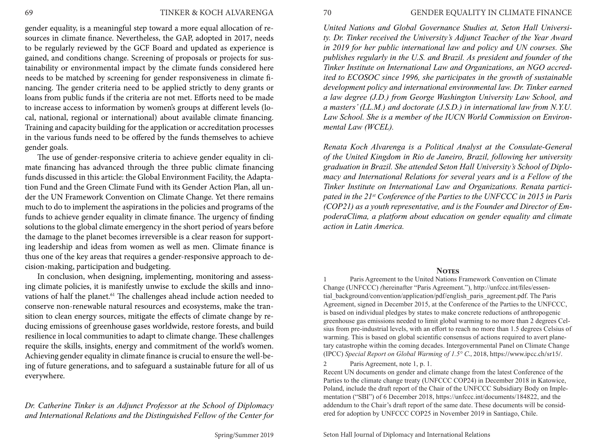gender equality, is a meaningful step toward a more equal allocation of resources in climate finance. Nevertheless, the GAP, adopted in 2017, needs to be regularly reviewed by the GCF Board and updated as experience is gained, and conditions change. Screening of proposals or projects for sustainability or environmental impact by the climate funds considered here needs to be matched by screening for gender responsiveness in climate financing. The gender criteria need to be applied strictly to deny grants or loans from public funds if the criteria are not met. Efforts need to be made to increase access to information by women's groups at different levels (local, national, regional or international) about available climate financing. Training and capacity building for the application or accreditation processes in the various funds need to be offered by the funds themselves to achieve gender goals.

The use of gender-responsive criteria to achieve gender equality in climate financing has advanced through the three public climate financing funds discussed in this article: the Global Environment Facility, the Adaptation Fund and the Green Climate Fund with its Gender Action Plan, all under the UN Framework Convention on Climate Change. Yet there remains much to do to implement the aspirations in the policies and programs of the funds to achieve gender equality in climate finance. The urgency of finding solutions to the global climate emergency in the short period of years before the damage to the planet becomes irreversible is a clear reason for supporting leadership and ideas from women as well as men. Climate finance is thus one of the key areas that requires a gender-responsive approach to decision-making, participation and budgeting.

In conclusion, when designing, implementing, monitoring and assessing climate policies, it is manifestly unwise to exclude the skills and innovations of half the planet.<sup>61</sup> The challenges ahead include action needed to conserve non-renewable natural resources and ecosystems, make the transition to clean energy sources, mitigate the effects of climate change by reducing emissions of greenhouse gases worldwide, restore forests, and build resilience in local communities to adapt to climate change. These challenges require the skills, insights, energy and commitment of the world's women. Achieving gender equality in climate finance is crucial to ensure the well-being of future generations, and to safeguard a sustainable future for all of us everywhere.

*Dr. Catherine Tinker is an Adjunct Professor at the School of Diplomacy and International Relations and the Distinguished Fellow of the Center for*  70 GENDER EQUALITY IN CLIMATE FINANCE

*United Nations and Global Governance Studies at, Seton Hall University. Dr. Tinker received the University's Adjunct Teacher of the Year Award in 2019 for her public international law and policy and UN courses. She publishes regularly in the U.S. and Brazil. As president and founder of the Tinker Institute on International Law and Organizations, an NGO accredited to ECOSOC since 1996, she participates in the growth of sustainable development policy and international environmental law. Dr. Tinker earned a law degree (J.D.) from George Washington University Law School, and a masters' (LL.M.) and doctorate (J.S.D.) in international law from N.Y.U. Law School. She is a member of the IUCN World Commission on Environmental Law (WCEL).*

*Renata Koch Alvarenga is a Political Analyst at the Consulate-General of the United Kingdom in Rio de Janeiro, Brazil, following her university graduation in Brazil. She attended Seton Hall University's School of Diplomacy and International Relations for several years and is a Fellow of the Tinker Institute on International Law and Organizations. Renata participated in the 21st Conference of the Parties to the UNFCCC in 2015 in Paris (COP21) as a youth representative, and is the Founder and Director of EmpoderaClima, a platform about education on gender equality and climate action in Latin America.*

#### **Notes**

1 Paris Agreement to the United Nations Framework Convention on Climate Change (UNFCCC) *(*hereinafter "Paris Agreement."), http://unfccc.int/files/essential\_background/convention/application/pdf/english\_paris\_agreement.pdf. The Paris Agreement, signed in December 2015, at the Conference of the Parties to the UNFCCC, is based on individual pledges by states to make concrete reductions of anthropogenic greenhouse gas emissions needed to limit global warming to no more than 2 degrees Celsius from pre-industrial levels, with an effort to reach no more than 1.5 degrees Celsius of warming. This is based on global scientific consensus of actions required to avert planetary catastrophe within the coming decades. Intergovernmental Panel on Climate Change (IPCC) *Special Report on Global Warming of 1.5° C.*, 2018, https://www.ipcc.ch/sr15/.

2 Paris Agreement, note 1, p. 1.

Recent UN documents on gender and climate change from the latest Conference of the Parties to the climate change treaty (UNFCCC COP24) in December 2018 in Katowice, Poland, include the draft report of the Chair of the UNFCCC Subsidiary Body on Implementation ("SBI") of 6 December 2018, https://unfccc.int/documents/184822, and the addendum to the Chair's draft report of the same date. These documents will be considered for adoption by UNFCCC COP25 in November 2019 in Santiago, Chile.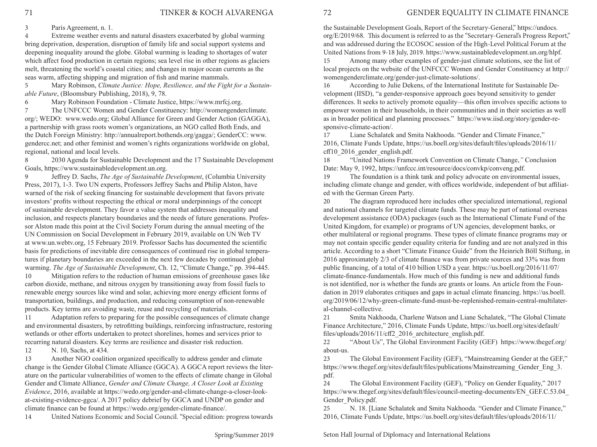3 Paris Agreement, n. 1.

4 Extreme weather events and natural disasters exacerbated by global warming bring deprivation, desperation, disruption of family life and social support systems and deepening inequality around the globe. Global warming is leading to shortages of water which affect food production in certain regions; sea level rise in other regions as glaciers melt, threatening the world's coastal cities; and changes in major ocean currents as the seas warm, affecting shipping and migration of fish and marine mammals.

5 Mary Robinson, *Climate Justice: Hope, Resilience, and the Fight for a Sustainable Future*, (Bloomsbury Publishing, 2018), 9, 78.

6 Mary Robinson Foundation - Climate Justice, https://www.mrfcj.org.

7 The UNFCCC Women and Gender Constituency: http://womengenderclimate. org/; WEDO: www.wedo.org; Global Alliance for Green and Gender Action (GAGGA), a partnership with grass roots women's organizations, an NGO called Both Ends, and the Dutch Foreign Ministry: http://annualreport.bothends.org/gagga/; GenderCC: www. gendercc.net; and other feminist and women's rights organizations worldwide on global, regional, national and local levels.

8 2030 Agenda for Sustainable Development and the 17 Sustainable Development Goals, https://www.sustainabledevelopment.un.org.

9 Jeffrey D. Sachs, *The Age of Sustainable Development*, (Columbia University Press, 2017), 1-3. Two UN experts, Professors Jeffrey Sachs and Philip Alston, have warned of the risk of seeking financing for sustainable development that favors private investors' profits without respecting the ethical or moral underpinnings of the concept of sustainable development. They favor a value system that addresses inequality and inclusion, and respects planetary boundaries and the needs of future generations. Professor Alston made this point at the Civil Society Forum during the annual meeting of the UN Commission on Social Development in February 2019, available on UN Web TV at www.un.webtv.org, 15 February 2019. Professor Sachs has documented the scientific basis for predictions of inevitable dire consequences of continued rise in global temperatures if planetary boundaries are exceeded in the next few decades by continued global warming. *The Age of Sustainable Development*, Ch. 12, "Climate Change," pp. 394-445.

10 Mitigation refers to the reduction of human emissions of greenhouse gases like carbon dioxide, methane, and nitrous oxygen by transitioning away from fossil fuels to renewable energy sources like wind and solar, achieving more energy efficient forms of transportation, buildings, and production, and reducing consumption of non-renewable products. Key terms are avoiding waste, reuse and recycling of materials.

11 Adaptation refers to preparing for the possible consequences of climate change and environmental disasters, by retrofitting buildings, reinforcing infrastructure, restoring wetlands or other efforts undertaken to protect shorelines, homes and services prior to recurring natural disasters. Key terms are resilience and disaster risk reduction.

12 N. 10, Sachs, at 434.

13 Another NGO coalition organized specifically to address gender and climate change is the Gender Global Climate Alliance (GGCA). A GGCA report reviews the literature on the particular vulnerabilities of women to the effects of climate change in Global Gender and Climate Alliance, *Gender and Climate Change, A Closer Look at Existing Evidence*, 2016, available at https://wedo.org/gender-and-climate-change-a-closer-lookat-existing-evidence-ggca/. A 2017 policy debrief by GGCA and UNDP on gender and climate finance can be found at https://wedo.org/gender-climate-finance/.

14 United Nations Economic and Social Council. "Special edition: progress towards

the Sustainable Development Goals, Report of the Secretary-General," https://undocs. org/E/2019/68. This document is referred to as the "Secretary-General's Progress Report," and was addressed during the ECOSOC session of the High-Level Political Forum at the United Nations from 9-18 July, 2019. https://www.sustainabledevelopment.un.org/hlpf.

15 Among many other examples of gender-just climate solutions, see the list of local projects on the website of the UNFCCC Women and Gender Constituency at http:// womengenderclimate.org/gender-just-climate-solutions/.

16 According to Julie Dekens, of the International Institute for Sustainable Development (IISD), "a gender-responsive approach goes beyond sensitivity to gender differences. It seeks to actively promote equality—this often involves specific actions to empower women in their households, in their communities and in their societies as well as in broader political and planning processes." https://www.iisd.org/story/gender-responsive-climate-action/.

17 Liane Schalatek and Smita Nakhooda. "Gender and Climate Finance," 2016, Climate Funds Update, https://us.boell.org/sites/default/files/uploads/2016/11/ cff10 2016 gender english.pdf.

18 "United Nations Framework Convention on Climate Change,*"* Conclusion Date: May 9, 1992, https://unfccc.int/resource/docs/convkp/conveng.pdf.

19 The foundation is a think tank and policy advocate on environmental issues, including climate change and gender, with offices worldwide, independent of but affiliated with the German Green Party.

20 The diagram reproduced here includes other specialized international, regional and national channels for targeted climate funds. These may be part of national overseas development assistance (ODA) packages (such as the International Climate Fund of the United Kingdom, for example) or programs of UN agencies, development banks, or other multilateral or regional programs. These types of climate finance programs may or may not contain specific gender equality criteria for funding and are not analyzed in this article. According to a short "Climate Finance Guide" from the Heinrich Böll Stiftung, in 2016 approximately 2/3 of climate finance was from private sources and 33% was from public financing, of a total of 410 billion USD a year. https://us.boell.org/2016/11/07/ climate-finance-fundamentals. How much of this funding is new and additional funds is not identified, nor is whether the funds are grants or loans. An article from the Foundation in 2019 elaborates critiques and gaps in actual climate financing. https://us.boell. org/2019/06/12/why-green-climate-fund-must-be-replenished-remain-central-multilateral-channel-collective.

21 Smita Nakhooda, Charlene Watson and Liane Schalatek, "The Global Climate Finance Architecture," 2016, Climate Funds Update, https://us.boell.org/sites/default/ files/uploads/2016/11/cff2\_2016\_architecture\_english.pdf.

22 "About Us", The Global Environment Facility (GEF) https://www.thegef.org/ about-us.

23 The Global Environment Facility (GEF), "Mainstreaming Gender at the GEF," https://www.thegef.org/sites/default/files/publications/Mainstreaming\_Gender\_Eng\_3. pdf.

24 The Global Environment Facility (GEF), "Policy on Gender Equality," 2017 https://www.thegef.org/sites/default/files/council-meeting-documents/EN\_GEF.C.53.04\_ Gender Policy.pdf.

25 N. 18. [Liane Schalatek and Smita Nakhooda. "Gender and Climate Finance," 2016, Climate Funds Update, https://us.boell.org/sites/default/files/uploads/2016/11/

Spring/Summer 2019

Seton Hall Journal of Diplomacy and International Relations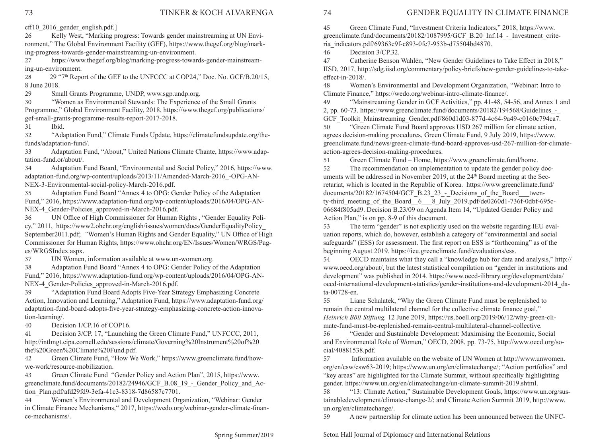cff10 2016 gender english.pdf.]

26 Kelly West, "Marking progress: Towards gender mainstreaming at UN Environment," The Global Environment Facility (GEF), https://www.thegef.org/blog/marking-progress-towards-gender-mainstreaming-un-environment.

27 https://www.thegef.org/blog/marking-progress-towards-gender-mainstreaming-un-environment.

28 29 "7<sup>th</sup> Report of the GEF to the UNFCCC at COP24," Doc. No. GCF/B.20/15, 8 June 2018.

29 Small Grants Programme, UNDP, www.sgp.undp.org.

30 "Women as Environmental Stewards: The Experience of the Small Grants Programme," Global Environment Facility, 2018, https://www.thegef.org/publications/ gef-small-grants-programme-results-report-2017-2018.

31 Ibid.

32 "Adaptation Fund," Climate Funds Update, https://climatefundsupdate.org/thefunds/adaptation-fund/.

33 Adaptation Fund, "About," United Nations Climate Chante, https://www.adaptation-fund.or/about/.

34 Adaptation Fund Board, "Environmental and Social Policy," 2016, https://www. adaptation-fund.org/wp-content/uploads/2013/11/Amended-March-2016 -OPG-AN-NEX-3-Environmental-social-policy-March-2016.pdf.

35 Adaptation Fund Board "Annex 4 to OPG: Gender Policy of the Adaptation Fund," 2016, https://www.adaptation-fund.org/wp-content/uploads/2016/04/OPG-AN-NEX-4 Gender-Policies approved-in-March-2016.pdf.

36 UN Office of High Commissioner for Human Rights , "Gender Equality Policy," 2011, https://www2.ohchr.org/english/issues/women/docs/GenderEqualityPolicy\_ September2011.pdf; *"*Women's Human Rights and Gender Equality," UN Office of High Commissioner for Human Rights, https://www.ohchr.org/EN/Issues/Women/WRGS/Pages/WRGSIndex.aspx.

37 UN Women, information available at www.un-women.org.

38 Adaptation Fund Board "Annex 4 to OPG: Gender Policy of the Adaptation Fund," 2016, https://www.adaptation-fund.org/wp-content/uploads/2016/04/OPG-AN-NEX-4 Gender-Policies approved-in-March-2016.pdf.

39 "Adaptation Fund Board Adopts Five-Year Strategy Emphasizing Concrete Action, Innovation and Learning," Adaptation Fund, https://www.adaptation-fund.org/ adaptation-fund-board-adopts-five-year-strategy-emphasizing-concrete-action-innovation-learning/.

40 Decision 1/CP.16 of COP16.

41 Decision 3/CP. 17, "Launching the Green Climate Fund," UNFCCC, 2011, http://intlmgt.cipa.cornell.edu/sessions/climate/Governing%20Instrument%20of%20 the%20Green%20Climate%20Fund.pdf.

42 Green Climate Fund, "How We Work," https://www.greenclimate.fund/howwe-work/resource-mobilization.

43 Green Climate Fund "Gender Policy and Action Plan", 2015, https://www. greenclimate.fund/documents/20182/24946/GCF\_B.08\_19\_-\_Gender\_Policy\_and\_Action\_Plan.pdf/afd29fd9-3efa-41c3-8318-7d86587c7701.

44 Women's Environmental and Development Organization, "Webinar: Gender in Climate Finance Mechanisms," 2017, https://wedo.org/webinar-gender-climate-finance-mechanisms/.

# 74 GENDER EQUALITY IN CLIMATE FINANCE

45 Green Climate Fund, "Investment Criteria Indicators," 2018, https://www. greenclimate.fund/documents/20182/1087995/GCF\_B.20\_Inf.14\_-\_Investment\_criteria\_indicators.pdf/69363c9f-c893-0fc7-953b-d75504bd4870.

46 Decision 3/CP.32.

47 Catherine Benson Wahlén, "New Gender Guidelines to Take Effect in 2018," IISD, 2017, http://sdg.iisd.org/commentary/policy-briefs/new-gender-guidelines-to-takeeffect-in-2018/.

48 Women's Environmental and Development Organization, "Webinar: Intro to Climate Finance," https://wedo.org/webinar-intro-climate-finance/.

49 "Mainstreaming Gender in GCF Activities," pp. 41-48, 54-56, and Annex 1 and 2, pp. 60-73. https://www.greenclimate.fund/documents/20182/194568/Guidelines\_-\_ GCF\_Toolkit\_Mainstreaming\_Gender.pdf/860d1d03-877d-4c64-9a49-c0160c794ca7.

50 "Green Climate Fund Board approves USD 267 million for climate action, agrees decision-making procedures, Green Climate Fund, 9 July 2019, https://www. greenclimate.fund/news/green-climate-fund-board-approves-usd-267-million-for-climateaction-agrees-decision-making-procedures.

51 Green Climate Fund – Home, https://www.greenclimate.fund/home.

52 The recommendation on implementation to update the gender policy documents will be addressed in November 2019, at the  $24<sup>th</sup>$  Board meeting at the Secretariat, which is located in the Republic of Korea. https://www.greenclimate.fund/ documents/20182/1674504/GCF\_B.23\_23\_-\_Decisions\_of\_the\_Board\_\_twenty-third\_meeting\_of\_the\_Board\_6\_\_8\_July\_2019.pdf/de0260d1-736f-0dbf-695c-06684f805ad9. Decision B.23/09 on Agenda Item 14, "Updated Gender Policy and Action Plan," is on pp. 8-9 of this document.

53 The term "gender" is not explicitly used on the website regarding IEU evaluation reports, which do, however, establish a category of "environmental and social safeguards" (ESS) for assessment. The first report on ESS is "forthcoming" as of the beginning August 2019. https://ieu.greenclimate.fund/evaluations/ess.

54 OECD maintains what they call a "knowledge hub for data and analysis," http:// www.oecd.org/about/, but the latest statistical compilation on "gender in institutions and development" was published in 2014. https://www.oecd-ilibrary.org/development/data/ oecd-international-development-statistics/gender-institutions-and-development-2014\_data-00728-en.

55 Liane Schalatek, "Why the Green Climate Fund must be replenished to remain the central multilateral channel for the collective climate finance goal," *Heinrich Böll Stiftung,* 12 June 2019, https://us.boell.org/2019/06/12/why-green-climate-fund-must-be-replenished-remain-central-multilateral-channel-collective.

56 "Gender and Sustainable Development: Maximising the Economic, Social and Environmental Role of Women," OECD, 2008, pp. 73-75, http://www.oecd.org/social/40881538.pdf.

57 Information available on the website of UN Women at http://www.unwomen. org/en/csw/csw63-2019; https://www.un.org/en/climatechange/; "Action portfolios" and "key areas" are highlighted for the Climate Summit, without specifically highlighting gender. https://www.un.org/en/climatechange/un-climate-summit-2019.shtml.

58 "13: Climate Action," Sustainable Development Goals, https://www.un.org/sustainabledevelopment/climate-change-2/; and Climate Action Summit 2019, http://www. un.org/en/climatechange/.

59 A new partnership for climate action has been announced between the UNFC-

Seton Hall Journal of Diplomacy and International Relations